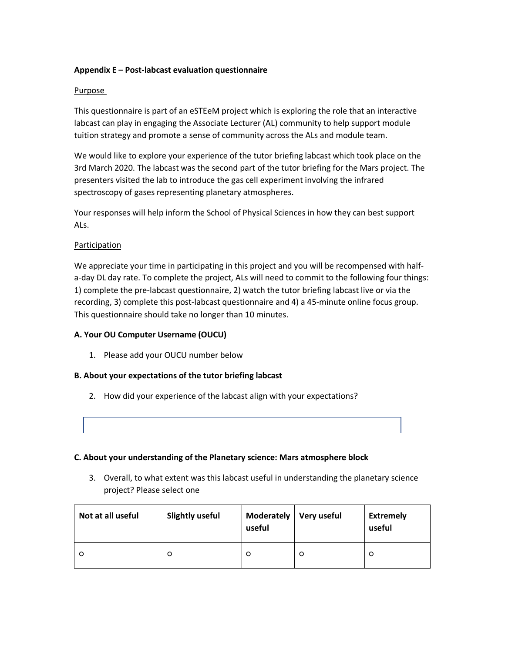### **Appendix E – Post-labcast evaluation questionnaire**

#### Purpose

This questionnaire is part of an eSTEeM project which is exploring the role that an interactive labcast can play in engaging the Associate Lecturer (AL) community to help support module tuition strategy and promote a sense of community across the ALs and module team.

We would like to explore your experience of the tutor briefing labcast which took place on the 3rd March 2020. The labcast was the second part of the tutor briefing for the Mars project. The presenters visited the lab to introduce the gas cell experiment involving the infrared spectroscopy of gases representing planetary atmospheres.

Your responses will help inform the School of Physical Sciences in how they can best support ALs.

### Participation

We appreciate your time in participating in this project and you will be recompensed with halfa-day DL day rate. To complete the project, ALs will need to commit to the following four things: 1) complete the pre-labcast questionnaire, 2) watch the tutor briefing labcast live or via the recording, 3) complete this post-labcast questionnaire and 4) a 45-minute online focus group. This questionnaire should take no longer than 10 minutes.

### **A. Your OU Computer Username (OUCU)**

1. Please add your OUCU number below

#### **B. About your expectations of the tutor briefing labcast**

2. How did your experience of the labcast align with your expectations?

#### **C. About your understanding of the Planetary science: Mars atmosphere block**

3. Overall, to what extent was this labcast useful in understanding the planetary science project? Please select one

| Not at all useful | <b>Slightly useful</b> | Moderately<br>useful | Very useful | <b>Extremely</b><br>useful |
|-------------------|------------------------|----------------------|-------------|----------------------------|
| C                 | O                      | O                    | $\circ$     | O                          |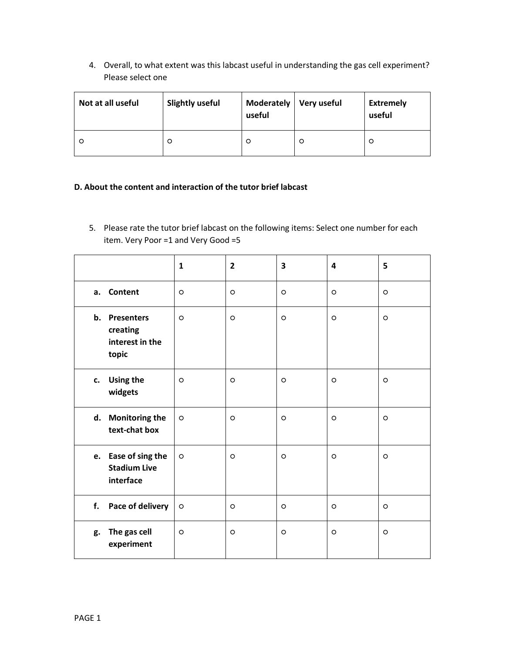4. Overall, to what extent was this labcast useful in understanding the gas cell experiment? Please select one

| Not at all useful | <b>Slightly useful</b> | Moderately   Very useful<br>useful |         | <b>Extremely</b><br>useful |
|-------------------|------------------------|------------------------------------|---------|----------------------------|
| $\circ$           | $\circ$                | O                                  | $\circ$ | O                          |

## **D. About the content and interaction of the tutor brief labcast**

5. Please rate the tutor brief labcast on the following items: Select one number for each item. Very Poor =1 and Very Good =5

|    |                                                         | $\mathbf{1}$ | $\overline{2}$ | 3       | 4       | 5       |
|----|---------------------------------------------------------|--------------|----------------|---------|---------|---------|
|    | a. Content                                              | $\circ$      | $\circ$        | $\circ$ | $\circ$ | $\circ$ |
|    | b. Presenters<br>creating<br>interest in the<br>topic   | $\circ$      | $\circ$        | $\circ$ | $\circ$ | $\circ$ |
|    | c. Using the<br>widgets                                 | $\circ$      | $\circ$        | $\circ$ | $\circ$ | $\circ$ |
|    | d. Monitoring the<br>text-chat box                      | $\circ$      | $\circ$        | $\circ$ | $\circ$ | $\circ$ |
|    | e. Ease of sing the<br><b>Stadium Live</b><br>interface | $\circ$      | $\circ$        | $\circ$ | $\circ$ | $\circ$ |
| f. | Pace of delivery                                        | $\circ$      | $\circ$        | $\circ$ | $\circ$ | $\circ$ |
| g. | The gas cell<br>experiment                              | $\circ$      | $\circ$        | $\circ$ | $\circ$ | $\circ$ |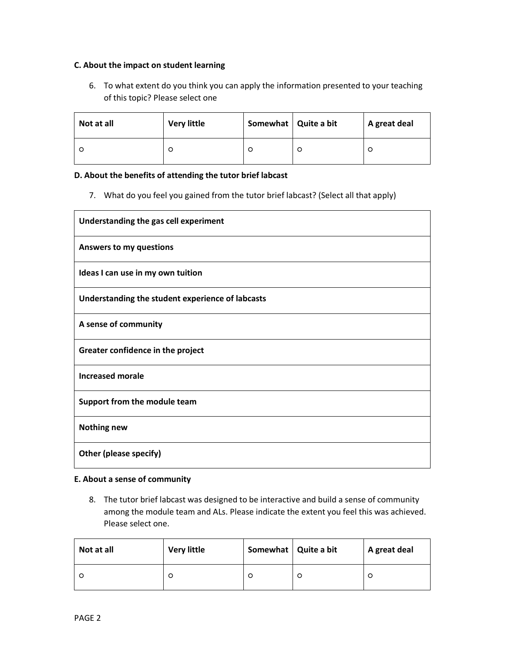### **C. About the impact on student learning**

6. To what extent do you think you can apply the information presented to your teaching of this topic? Please select one

| Not at all | <b>Very little</b> | Somewhat   Quite a bit |   | A great deal |
|------------|--------------------|------------------------|---|--------------|
|            | O                  |                        | O | O            |

### **D. About the benefits of attending the tutor brief labcast**

7. What do you feel you gained from the tutor brief labcast? (Select all that apply)

| Understanding the gas cell experiment            |
|--------------------------------------------------|
| <b>Answers to my questions</b>                   |
| Ideas I can use in my own tuition                |
| Understanding the student experience of labcasts |
| A sense of community                             |
| Greater confidence in the project                |
| <b>Increased morale</b>                          |
| Support from the module team                     |
| <b>Nothing new</b>                               |
| Other (please specify)                           |

### **E. About a sense of community**

8. The tutor brief labcast was designed to be interactive and build a sense of community among the module team and ALs. Please indicate the extent you feel this was achieved. Please select one.

| Not at all | <b>Very little</b> | Somewhat   Quite a bit |   | A great deal |
|------------|--------------------|------------------------|---|--------------|
|            | O                  |                        | O | C            |